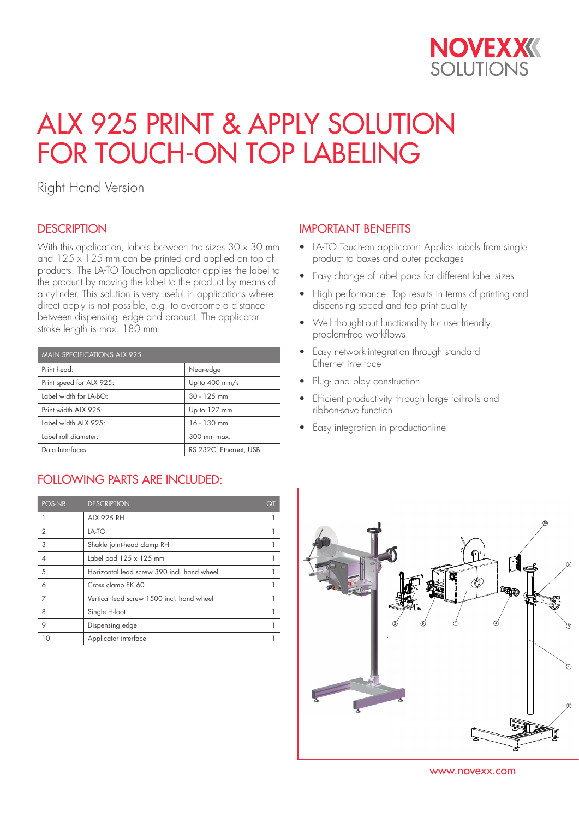

# ALX 925 PRINT & APPLY SOLUTION FOR TOUCH-ON TOP LABELING

Right Hand Version

## **DESCRIPTION**

With this application, labels between the sizes  $30 \times 30$  mm and  $125 \times 125$  mm can be printed and applied on top of products. The LA-TO Touch-on applicator applies the label to the product by moving the label to the product by means of a cylinder. This solution is very useful in applications where direct apply is not possible, e.g. to overcome a distance between dispensing- edge and product. The applicator stroke length is max. 180 mm.

| <b>MAIN SPECIFICATIONS ALX 925</b> |                          |  |
|------------------------------------|--------------------------|--|
| Print head:                        | Near-edge                |  |
| Print speed for ALX 925:           | Up to $400 \text{ mm/s}$ |  |
| Label width for LA-BO:             | $30 - 125$ mm            |  |
| Print width ALX 925:               | Up to 127 mm             |  |
| Label width ALX 925:               | $16 - 130$ mm            |  |
| Label roll diameter:               | $300 \text{ mm}$ mgx     |  |
| Data Interfaces:                   | RS 232C, Ethernet, USB   |  |

# FOLLOWING PARTS ARE INCLUDED:

| POS-NB.        | <b>DESCRIPTION</b>                         | QT |
|----------------|--------------------------------------------|----|
|                | <b>ALX 925 RH</b>                          |    |
| $\overline{2}$ | LA-TO                                      |    |
| 3              | Shakle joint-head clamp RH                 |    |
|                | Label pad $125 \times 125$ mm              |    |
| 5              | Horizontal lead screw 390 incl. hand wheel |    |
| 6              | Cross clamp EK 60                          |    |
| 7              | Vertical lead screw 1500 incl. hand wheel  |    |
| 8              | Single H-foot                              |    |
| 9              | Dispensing edge                            |    |
| 10             | Applicator interface                       |    |

### IMPORTANT BENEFITS

- LA-TO Touch-on applicator: Applies labels from single product to boxes and outer packages
- Easy change of label pads for different label sizes
- High performance: Top results in terms of printing and dispensing speed and top print quality
- Well thought-out functionality for user-friendly, problem-free workflows
- Easy network-integration through standard Ethernet interface
- Plug- and play construction
- Efficient productivity through large foil-rolls and ribbon-save function
- Easy integration in productionline



www.novexx.com